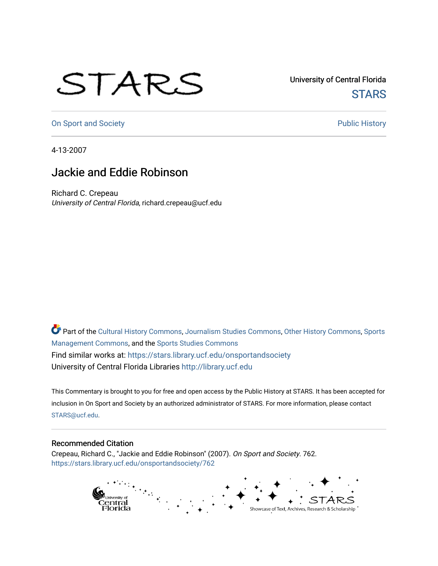## STARS

University of Central Florida **STARS** 

[On Sport and Society](https://stars.library.ucf.edu/onsportandsociety) **Public History** Public History

4-13-2007

## Jackie and Eddie Robinson

Richard C. Crepeau University of Central Florida, richard.crepeau@ucf.edu

Part of the [Cultural History Commons](http://network.bepress.com/hgg/discipline/496?utm_source=stars.library.ucf.edu%2Fonsportandsociety%2F762&utm_medium=PDF&utm_campaign=PDFCoverPages), [Journalism Studies Commons,](http://network.bepress.com/hgg/discipline/333?utm_source=stars.library.ucf.edu%2Fonsportandsociety%2F762&utm_medium=PDF&utm_campaign=PDFCoverPages) [Other History Commons,](http://network.bepress.com/hgg/discipline/508?utm_source=stars.library.ucf.edu%2Fonsportandsociety%2F762&utm_medium=PDF&utm_campaign=PDFCoverPages) [Sports](http://network.bepress.com/hgg/discipline/1193?utm_source=stars.library.ucf.edu%2Fonsportandsociety%2F762&utm_medium=PDF&utm_campaign=PDFCoverPages) [Management Commons](http://network.bepress.com/hgg/discipline/1193?utm_source=stars.library.ucf.edu%2Fonsportandsociety%2F762&utm_medium=PDF&utm_campaign=PDFCoverPages), and the [Sports Studies Commons](http://network.bepress.com/hgg/discipline/1198?utm_source=stars.library.ucf.edu%2Fonsportandsociety%2F762&utm_medium=PDF&utm_campaign=PDFCoverPages) Find similar works at: <https://stars.library.ucf.edu/onsportandsociety> University of Central Florida Libraries [http://library.ucf.edu](http://library.ucf.edu/) 

This Commentary is brought to you for free and open access by the Public History at STARS. It has been accepted for inclusion in On Sport and Society by an authorized administrator of STARS. For more information, please contact [STARS@ucf.edu](mailto:STARS@ucf.edu).

## Recommended Citation

Crepeau, Richard C., "Jackie and Eddie Robinson" (2007). On Sport and Society. 762. [https://stars.library.ucf.edu/onsportandsociety/762](https://stars.library.ucf.edu/onsportandsociety/762?utm_source=stars.library.ucf.edu%2Fonsportandsociety%2F762&utm_medium=PDF&utm_campaign=PDFCoverPages)

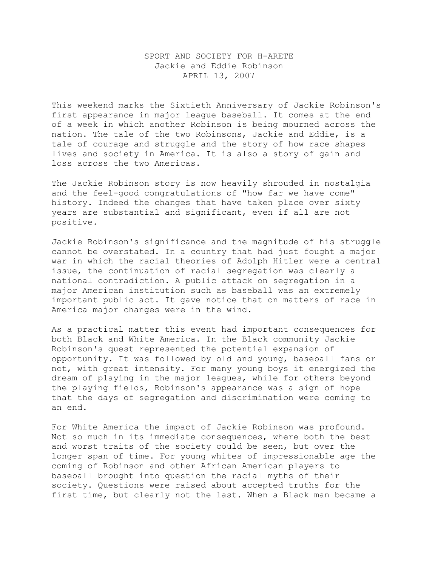## SPORT AND SOCIETY FOR H-ARETE Jackie and Eddie Robinson APRIL 13, 2007

This weekend marks the Sixtieth Anniversary of Jackie Robinson's first appearance in major league baseball. It comes at the end of a week in which another Robinson is being mourned across the nation. The tale of the two Robinsons, Jackie and Eddie, is a tale of courage and struggle and the story of how race shapes lives and society in America. It is also a story of gain and loss across the two Americas.

The Jackie Robinson story is now heavily shrouded in nostalgia and the feel-good congratulations of "how far we have come" history. Indeed the changes that have taken place over sixty years are substantial and significant, even if all are not positive.

Jackie Robinson's significance and the magnitude of his struggle cannot be overstated. In a country that had just fought a major war in which the racial theories of Adolph Hitler were a central issue, the continuation of racial segregation was clearly a national contradiction. A public attack on segregation in a major American institution such as baseball was an extremely important public act. It gave notice that on matters of race in America major changes were in the wind.

As a practical matter this event had important consequences for both Black and White America. In the Black community Jackie Robinson's quest represented the potential expansion of opportunity. It was followed by old and young, baseball fans or not, with great intensity. For many young boys it energized the dream of playing in the major leagues, while for others beyond the playing fields, Robinson's appearance was a sign of hope that the days of segregation and discrimination were coming to an end.

For White America the impact of Jackie Robinson was profound. Not so much in its immediate consequences, where both the best and worst traits of the society could be seen, but over the longer span of time. For young whites of impressionable age the coming of Robinson and other African American players to baseball brought into question the racial myths of their society. Questions were raised about accepted truths for the first time, but clearly not the last. When a Black man became a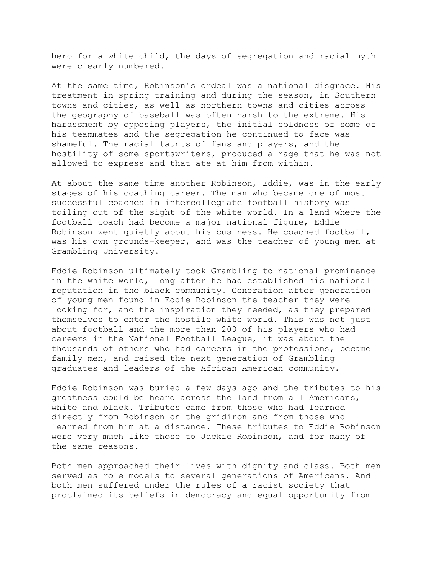hero for a white child, the days of segregation and racial myth were clearly numbered.

At the same time, Robinson's ordeal was a national disgrace. His treatment in spring training and during the season, in Southern towns and cities, as well as northern towns and cities across the geography of baseball was often harsh to the extreme. His harassment by opposing players, the initial coldness of some of his teammates and the segregation he continued to face was shameful. The racial taunts of fans and players, and the hostility of some sportswriters, produced a rage that he was not allowed to express and that ate at him from within.

At about the same time another Robinson, Eddie, was in the early stages of his coaching career. The man who became one of most successful coaches in intercollegiate football history was toiling out of the sight of the white world. In a land where the football coach had become a major national figure, Eddie Robinson went quietly about his business. He coached football, was his own grounds-keeper, and was the teacher of young men at Grambling University.

Eddie Robinson ultimately took Grambling to national prominence in the white world, long after he had established his national reputation in the black community. Generation after generation of young men found in Eddie Robinson the teacher they were looking for, and the inspiration they needed, as they prepared themselves to enter the hostile white world. This was not just about football and the more than 200 of his players who had careers in the National Football League, it was about the thousands of others who had careers in the professions, became family men, and raised the next generation of Grambling graduates and leaders of the African American community.

Eddie Robinson was buried a few days ago and the tributes to his greatness could be heard across the land from all Americans, white and black. Tributes came from those who had learned directly from Robinson on the gridiron and from those who learned from him at a distance. These tributes to Eddie Robinson were very much like those to Jackie Robinson, and for many of the same reasons.

Both men approached their lives with dignity and class. Both men served as role models to several generations of Americans. And both men suffered under the rules of a racist society that proclaimed its beliefs in democracy and equal opportunity from